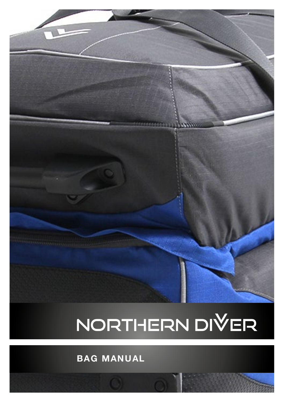# NORTHERN DIVER

 $1111111$ 

**BAG MANUAL**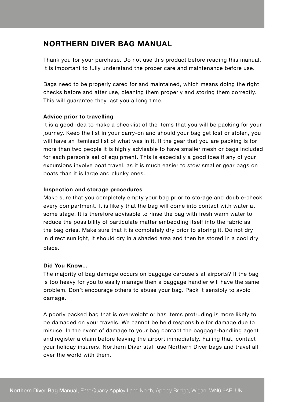### **NORTHERN DIVER BAG MANUAL**

Thank you for your purchase. Do not use this product before reading this manual. It is important to fully understand the proper care and maintenance before use.

Bags need to be properly cared for and maintained, which means doing the right checks before and after use, cleaning them properly and storing them correctly. This will guarantee they last you a long time.

#### **Advice prior to travelling**

It is a good idea to make a checklist of the items that you will be packing for your journey. Keep the list in your carry-on and should your bag get lost or stolen, you will have an itemised list of what was in it. If the gear that you are packing is for more than two people it is highly advisable to have smaller mesh or bags included for each person's set of equipment. This is especially a good idea if any of your excursions involve boat travel, as it is much easier to stow smaller gear bags on boats than it is large and clunky ones.

#### **Inspection and storage procedures**

Make sure that you completely empty your bag prior to storage and double-check every compartment. It is likely that the bag will come into contact with water at some stage. It is therefore advisable to rinse the bag with fresh warm water to reduce the possibility of particulate matter embedding itself into the fabric as the bag dries. Make sure that it is completely dry prior to storing it. Do not dry in direct sunlight, it should dry in a shaded area and then be stored in a cool dry place.

#### **Did You Know...**

The majority of bag damage occurs on baggage carousels at airports? If the bag is too heavy for you to easily manage then a baggage handler will have the same problem. Don't encourage others to abuse your bag. Pack it sensibly to avoid damage.

A poorly packed bag that is overweight or has items protruding is more likely to be damaged on your travels. We cannot be held responsible for damage due to misuse. In the event of damage to your bag contact the baggage-handling agent and register a claim before leaving the airport immediately. Failing that, contact your holiday insurers. Northern Diver staff use Northern Diver bags and travel all over the world with them.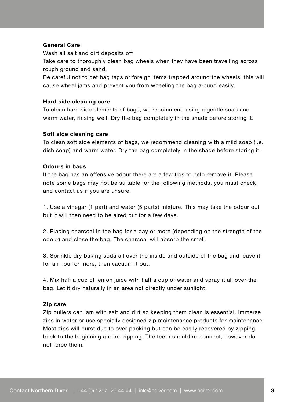#### **General Care**

Wash all salt and dirt deposits off

Take care to thoroughly clean bag wheels when they have been travelling across rough ground and sand.

Be careful not to get bag tags or foreign items trapped around the wheels, this will cause wheel jams and prevent you from wheeling the bag around easily.

#### **Hard side cleaning care**

To clean hard side elements of bags, we recommend using a gentle soap and warm water, rinsing well. Dry the bag completely in the shade before storing it.

#### **Soft side cleaning care**

To clean soft side elements of bags, we recommend cleaning with a mild soap (i.e. dish soap) and warm water. Dry the bag completely in the shade before storing it.

#### **Odours in bags**

If the bag has an offensive odour there are a few tips to help remove it. Please note some bags may not be suitable for the following methods, you must check and contact us if you are unsure.

1. Use a vinegar (1 part) and water (5 parts) mixture. This may take the odour out but it will then need to be aired out for a few days.

2. Placing charcoal in the bag for a day or more (depending on the strength of the odour) and close the bag. The charcoal will absorb the smell.

3. Sprinkle dry baking soda all over the inside and outside of the bag and leave it for an hour or more, then vacuum it out.

4. Mix half a cup of lemon juice with half a cup of water and spray it all over the bag. Let it dry naturally in an area not directly under sunlight.

#### **Zip care**

Zip pullers can jam with salt and dirt so keeping them clean is essential. Immerse zips in water or use specially designed zip maintenance products for maintenance. Most zips will burst due to over packing but can be easily recovered by zipping back to the beginning and re-zipping. The teeth should re-connect, however do not force them.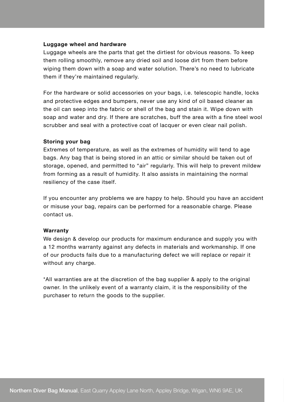#### **Luggage wheel and hardware**

Luggage wheels are the parts that get the dirtiest for obvious reasons. To keep them rolling smoothly, remove any dried soil and loose dirt from them before wiping them down with a soap and water solution. There's no need to lubricate them if they're maintained regularly.

For the hardware or solid accessories on your bags, i.e. telescopic handle, locks and protective edges and bumpers, never use any kind of oil based cleaner as the oil can seep into the fabric or shell of the bag and stain it. Wipe down with soap and water and dry. If there are scratches, buff the area with a fine steel wool scrubber and seal with a protective coat of lacquer or even clear nail polish.

#### **Storing your bag**

Extremes of temperature, as well as the extremes of humidity will tend to age bags. Any bag that is being stored in an attic or similar should be taken out of storage, opened, and permitted to "air" regularly. This will help to prevent mildew from forming as a result of humidity. It also assists in maintaining the normal resiliency of the case itself.

If you encounter any problems we are happy to help. Should you have an accident or misuse your bag, repairs can be performed for a reasonable charge. Please contact us.

#### **Warranty**

We design & develop our products for maximum endurance and supply you with a 12 months warranty against any defects in materials and workmanship. If one of our products fails due to a manufacturing defect we will replace or repair it without any charge.

\*All warranties are at the discretion of the bag supplier & apply to the original owner. In the unlikely event of a warranty claim, it is the responsibility of the purchaser to return the goods to the supplier.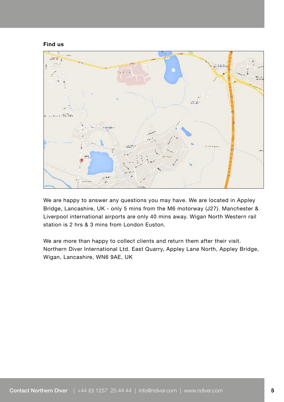**Find us**



We are happy to answer any questions you may have. We are located in Appley Bridge, Lancashire, UK - only 5 mins from the M6 motorway (J27). Manchester & Liverpool international airports are only 40 mins away. Wigan North Western rail station is 2 hrs & 3 mins from London Euston.

We are more than happy to collect clients and return them after their visit. Northern Diver International Ltd. East Quarry, Appley Lane North, Appley Bridge, Wigan, Lancashire, WN6 9AE, UK